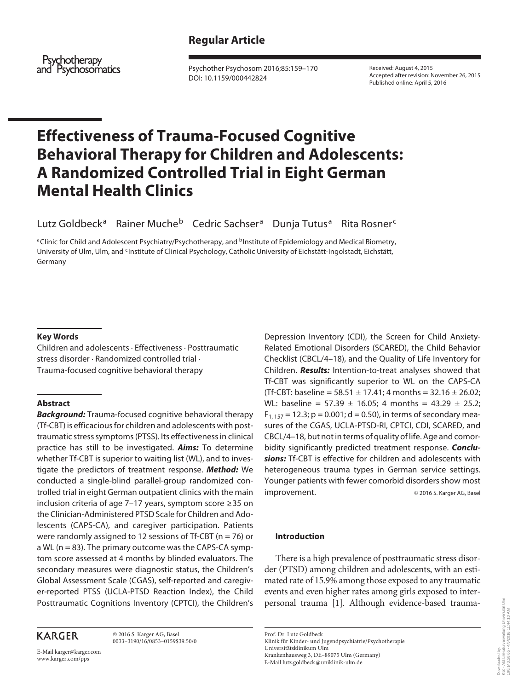# **Regular Article**

Psychotherapy and Psychosomatics

 Psychother Psychosom 2016;85:159–170 DOI: 10.1159/000442824

 Received: August 4, 2015 Accepted after revision: November 26, 2015 Published online: April 5, 2016

# **Effectiveness of Trauma-Focused Cognitive Behavioral Therapy for Children and Adolescents: A Randomized Controlled Trial in Eight German Mental Health Clinics**

Lutz Goldbeck<sup>a</sup> Rainer Muche<sup>b</sup> Cedric Sachser<sup>a</sup> Dunja Tutus<sup>a</sup> Rita Rosner<sup>c</sup>

<sup>a</sup> Clinic for Child and Adolescent Psychiatry/Psychotherapy, and <sup>b</sup>Institute of Epidemiology and Medical Biometry, University of Ulm, Ulm, and CInstitute of Clinical Psychology, Catholic University of Eichstätt-Ingolstadt, Eichstätt, Germany

#### **Key Words**

 Children and adolescents · Effectiveness · Posttraumatic stress disorder · Randomized controlled trial · Trauma-focused cognitive behavioral therapy

# **Abstract**

*Background:* Trauma-focused cognitive behavioral therapy (Tf-CBT) is efficacious for children and adolescents with posttraumatic stress symptoms (PTSS). Its effectiveness in clinical practice has still to be investigated. *Aims:* To determine whether Tf-CBT is superior to waiting list (WL), and to investigate the predictors of treatment response. *Method:* We conducted a single-blind parallel-group randomized controlled trial in eight German outpatient clinics with the main inclusion criteria of age 7–17 years, symptom score ≥ 35 on the Clinician-Administered PTSD Scale for Children and Adolescents (CAPS-CA), and caregiver participation. Patients were randomly assigned to 12 sessions of Tf-CBT ( $n = 76$ ) or a WL ( $n = 83$ ). The primary outcome was the CAPS-CA symptom score assessed at 4 months by blinded evaluators. The secondary measures were diagnostic status, the Children's Global Assessment Scale (CGAS), self-reported and caregiver-reported PTSS (UCLA-PTSD Reaction Index), the Child Posttraumatic Cognitions Inventory (CPTCI), the Children's

# **KARGER**

 © 2016 S. Karger AG, Basel 0033–3190/16/0853–0159\$39.50/0

E-Mail karger@karger.com www.karger.com/pps

Depression Inventory (CDI), the Screen for Child Anxiety-Related Emotional Disorders (SCARED), the Child Behavior Checklist (CBCL/4–18), and the Quality of Life Inventory for Children. *Results:* Intention-to-treat analyses showed that Tf-CBT was significantly superior to WL on the CAPS-CA (Tf-CBT: baseline =  $58.51 \pm 17.41$ ; 4 months =  $32.16 \pm 26.02$ ; WL: baseline =  $57.39 \pm 16.05$ ; 4 months =  $43.29 \pm 25.2$ ;  $F_{1, 157} = 12.3$ ; p = 0.001; d = 0.50), in terms of secondary measures of the CGAS, UCLA-PTSD-RI, CPTCI, CDI, SCARED, and CBCL/4–18, but not in terms of quality of life. Age and comorbidity significantly predicted treatment response. *Conclusions:* Tf-CBT is effective for children and adolescents with heterogeneous trauma types in German service settings. Younger patients with fewer comorbid disorders show most improvement. © 2016 S. Karger AG, Basel

#### **Introduction**

 There is a high prevalence of posttraumatic stress disorder (PTSD) among children and adolescents, with an estimated rate of 15.9% among those exposed to any traumatic events and even higher rates among girls exposed to interpersonal trauma [1]. Although evidence-based trauma-

uverwaltung Universität Ulm<br>4/5/2016 11:44:10 AM KIZ - Abt.Literaturverwaltung Universität Ulm 198.143.58.65 - 4/5/2016 11:44:10 AMwnloaded by:<br>: - AbtLliteratur<br>1.143.58.65 - 4. Downloaded by: Dow<br>KIZ<br>198.

 Prof. Dr. Lutz Goldbeck Klinik für Kinder- und Jugendpsychiatrie/Psychotherapie Universitätsklinikum Ulm Krankenhausweg 3, DE–89075 Ulm (Germany) E-Mail lutz.goldbeck @ uniklinik-ulm.de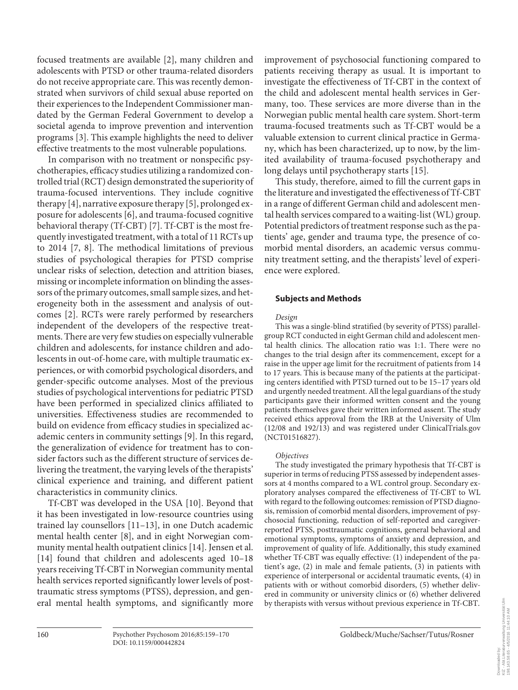focused treatments are available [2], many children and adolescents with PTSD or other trauma-related disorders do not receive appropriate care. This was recently demonstrated when survivors of child sexual abuse reported on their experiences to the Independent Commissioner mandated by the German Federal Government to develop a societal agenda to improve prevention and intervention programs [3]. This example highlights the need to deliver effective treatments to the most vulnerable populations.

 In comparison with no treatment or nonspecific psychotherapies, efficacy studies utilizing a randomized controlled trial (RCT) design demonstrated the superiority of trauma-focused interventions. They include cognitive therapy  $[4]$ , narrative exposure therapy  $[5]$ , prolonged exposure for adolescents [6], and trauma-focused cognitive behavioral therapy (Tf-CBT) [7]. Tf-CBT is the most frequently investigated treatment, with a total of 11 RCTs up to  $2014$  [7, 8]. The methodical limitations of previous studies of psychological therapies for PTSD comprise unclear risks of selection, detection and attrition biases, missing or incomplete information on blinding the assessors of the primary outcomes, small sample sizes, and heterogeneity both in the assessment and analysis of outcomes [2]. RCTs were rarely performed by researchers independent of the developers of the respective treatments. There are very few studies on especially vulnerable children and adolescents, for instance children and adolescents in out-of-home care, with multiple traumatic experiences, or with comorbid psychological disorders, and gender-specific outcome analyses. Most of the previous studies of psychological interventions for pediatric PTSD have been performed in specialized clinics affiliated to universities. Effectiveness studies are recommended to build on evidence from efficacy studies in specialized academic centers in community settings [9]. In this regard, the generalization of evidence for treatment has to consider factors such as the different structure of services delivering the treatment, the varying levels of the therapists' clinical experience and training, and different patient characteristics in community clinics.

Tf-CBT was developed in the USA [10]. Beyond that it has been investigated in low-resource countries using trained lay counsellors [11-13], in one Dutch academic mental health center [8], and in eight Norwegian community mental health outpatient clinics [14] . Jensen et al. [14] found that children and adolescents aged 10–18 years receiving Tf-CBT in Norwegian community mental health services reported significantly lower levels of posttraumatic stress symptoms (PTSS), depression, and general mental health symptoms, and significantly more

improvement of psychosocial functioning compared to patients receiving therapy as usual. It is important to investigate the effectiveness of Tf-CBT in the context of the child and adolescent mental health services in Germany, too. These services are more diverse than in the Norwegian public mental health care system. Short-term trauma-focused treatments such as Tf-CBT would be a valuable extension to current clinical practice in Germany, which has been characterized, up to now, by the limited availability of trauma-focused psychotherapy and long delays until psychotherapy starts [15] .

 This study, therefore, aimed to fill the current gaps in the literature and investigated the effectiveness of Tf-CBT in a range of different German child and adolescent mental health services compared to a waiting-list (WL) group. Potential predictors of treatment response such as the patients' age, gender and trauma type, the presence of comorbid mental disorders, an academic versus community treatment setting, and the therapists' level of experience were explored.

#### **Subjects and Methods**

#### *Design*

 This was a single-blind stratified (by severity of PTSS) parallelgroup RCT conducted in eight German child and adolescent mental health clinics. The allocation ratio was 1:1. There were no changes to the trial design after its commencement, except for a raise in the upper age limit for the recruitment of patients from 14 to 17 years. This is because many of the patients at the participating centers identified with PTSD turned out to be 15–17 years old and urgently needed treatment. All the legal guardians of the study participants gave their informed written consent and the young patients themselves gave their written informed assent. The study received ethics approval from the IRB at the University of Ulm (12/08 and 192/13) and was registered under ClinicalTrials.gov (NCT01516827).

#### *Objectives*

 The study investigated the primary hypothesis that Tf-CBT is superior in terms of reducing PTSS assessed by independent assessors at 4 months compared to a WL control group. Secondary exploratory analyses compared the effectiveness of Tf-CBT to WL with regard to the following outcomes: remission of PTSD diagnosis, remission of comorbid mental disorders, improvement of psychosocial functioning, reduction of self-reported and caregiverreported PTSS, posttraumatic cognitions, general behavioral and emotional symptoms, symptoms of anxiety and depression, and improvement of quality of life. Additionally, this study examined whether Tf-CBT was equally effective: (1) independent of the patient's age, (2) in male and female patients, (3) in patients with experience of interpersonal or accidental traumatic events, (4) in patients with or without comorbid disorders, (5) whether delivered in community or university clinics or (6) whether delivered by therapists with versus without previous experience in Tf-CBT.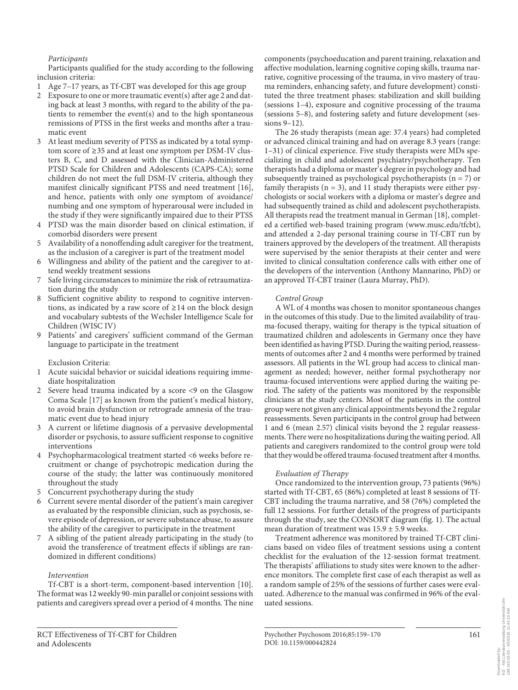*Participants* 

 Participants qualified for the study according to the following inclusion criteria:

- 1 Age 7–17 years, as Tf-CBT was developed for this age group
- 2 Exposure to one or more traumatic event(s) after age 2 and dating back at least 3 months, with regard to the ability of the patients to remember the event(s) and to the high spontaneous remissions of PTSS in the first weeks and months after a traumatic event
- 3 At least medium severity of PTSS as indicated by a total symptom score of ≥ 35 and at least one symptom per DSM-IV clusters B, C, and D assessed with the Clinician-Administered PTSD Scale for Children and Adolescents (CAPS-CA); some children do not meet the full DSM-IV criteria, although they manifest clinically significant PTSS and need treatment [16], and hence, patients with only one symptom of avoidance/ numbing and one symptom of hyperarousal were included in the study if they were significantly impaired due to their PTSS
- 4 PTSD was the main disorder based on clinical estimation, if comorbid disorders were present
- Availability of a nonoffending adult caregiver for the treatment, as the inclusion of a caregiver is part of the treatment model
- 6 Willingness and ability of the patient and the caregiver to attend weekly treatment sessions
- Safe living circumstances to minimize the risk of retraumatization during the study
- Sufficient cognitive ability to respond to cognitive interventions, as indicated by a raw score of  $\geq$ 14 on the block design and vocabulary subtests of the Wechsler Intelligence Scale for Children (WISC IV)
- Patients' and caregivers' sufficient command of the German language to participate in the treatment

Exclusion Criteria:

- 1 Acute suicidal behavior or suicidal ideations requiring immediate hospitalization
- Severe head trauma indicated by a score <9 on the Glasgow Coma Scale [17] as known from the patient's medical history, to avoid brain dysfunction or retrograde amnesia of the traumatic event due to head injury
- 3 A current or lifetime diagnosis of a pervasive developmental disorder or psychosis, to assure sufficient response to cognitive interventions
- 4 Psychopharmacological treatment started <6 weeks before recruitment or change of psychotropic medication during the course of the study; the latter was continuously monitored throughout the study
- 5 Concurrent psychotherapy during the study
- 6 Current severe mental disorder of the patient's main caregiver as evaluated by the responsible clinician, such as psychosis, severe episode of depression, or severe substance abuse, to assure the ability of the caregiver to participate in the treatment
- 7 A sibling of the patient already participating in the study (to avoid the transference of treatment effects if siblings are randomized in different conditions)

# *Intervention*

 Tf-CBT is a short-term, component-based intervention [10] . The format was 12 weekly 90-min parallel or conjoint sessions with patients and caregivers spread over a period of 4 months. The nine components (psychoeducation and parent training, relaxation and affective modulation, learning cognitive coping skills, trauma narrative, cognitive processing of the trauma, in vivo mastery of trauma reminders, enhancing safety, and future development) constituted the three treatment phases: stabilization and skill building (sessions 1–4), exposure and cognitive processing of the trauma (sessions 5–8), and fostering safety and future development (sessions 9–12).

 The 26 study therapists (mean age: 37.4 years) had completed or advanced clinical training and had on average 8.3 years (range: 1–31) of clinical experience. Five study therapists were MDs specializing in child and adolescent psychiatry/psychotherapy. Ten therapists had a diploma or master's degree in psychology and had subsequently trained as psychological psychotherapists ( $n = 7$ ) or family therapists ( $n = 3$ ), and 11 study therapists were either psychologists or social workers with a diploma or master's degree and had subsequently trained as child and adolescent psychotherapists. All therapists read the treatment manual in German [18], completed a certified web-based training program (www.musc.edu/tfcbt), and attended a 2-day personal training course in Tf-CBT run by trainers approved by the developers of the treatment. All therapists were supervised by the senior therapists at their center and were invited to clinical consultation conference calls with either one of the developers of the intervention (Anthony Mannarino, PhD) or an approved Tf-CBT trainer (Laura Murray, PhD).

# *Control Group*

 A WL of 4 months was chosen to monitor spontaneous changes in the outcomes of this study. Due to the limited availability of trauma-focused therapy, waiting for therapy is the typical situation of traumatized children and adolescents in Germany once they have been identified as having PTSD. During the waiting period, reassessments of outcomes after 2 and 4 months were performed by trained assessors. All patients in the WL group had access to clinical management as needed; however, neither formal psychotherapy nor trauma-focused interventions were applied during the waiting period. The safety of the patients was monitored by the responsible clinicians at the study centers. Most of the patients in the control group were not given any clinical appointments beyond the 2 regular reassessments. Seven participants in the control group had between 1 and 6 (mean 2.57) clinical visits beyond the 2 regular reassessments. There were no hospitalizations during the waiting period. All patients and caregivers randomized to the control group were told that they would be offered trauma-focused treatment after 4 months.

# *Evaluation of Therapy*

 Once randomized to the intervention group, 73 patients (96%) started with Tf-CBT, 65 (86%) completed at least 8 sessions of Tf-CBT including the trauma narrative, and 58 (76%) completed the full 12 sessions. For further details of the progress of participants through the study, see the CONSORT diagram (fig. 1). The actual mean duration of treatment was  $15.9 \pm 5.9$  weeks.

 Treatment adherence was monitored by trained Tf-CBT clinicians based on video files of treatment sessions using a content checklist for the evaluation of the 12-session format treatment. The therapists' affiliations to study sites were known to the adherence monitors. The complete first case of each therapist as well as a random sample of 25% of the sessions of further cases were evaluated. Adherence to the manual was confirmed in 96% of the evaluated sessions.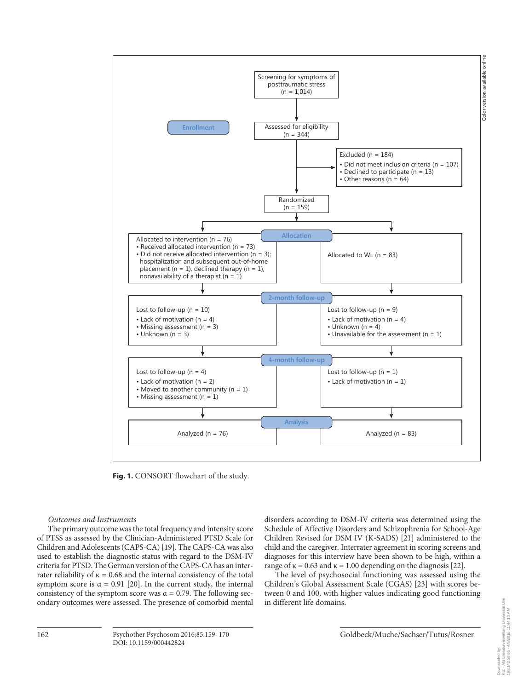

**Fig. 1.** CONSORT flowchart of the study.

#### *Outcomes and Instruments*

 The primary outcome was the total frequency and intensity score of PTSS as assessed by the Clinician-Administered PTSD Scale for Children and Adolescents (CAPS-CA) [19] . The CAPS-CA was also used to establish the diagnostic status with regard to the DSM-IV criteria for PTSD. The German version of the CAPS-CA has an interrater reliability of  $κ = 0.68$  and the internal consistency of the total symptom score is  $\alpha = 0.91$  [20]. In the current study, the internal consistency of the symptom score was  $\alpha = 0.79$ . The following secondary outcomes were assessed. The presence of comorbid mental

disorders according to DSM-IV criteria was determined using the Schedule of Affective Disorders and Schizophrenia for School-Age Children Revised for DSM IV (K-SADS) [21] administered to the child and the caregiver. Interrater agreement in scoring screens and diagnoses for this interview have been shown to be high, within a range of  $\kappa = 0.63$  and  $\kappa = 1.00$  depending on the diagnosis [22].

 The level of psychosocial functioning was assessed using the Children's Global Assessment Scale (CGAS) [23] with scores between 0 and 100, with higher values indicating good functioning in different life domains.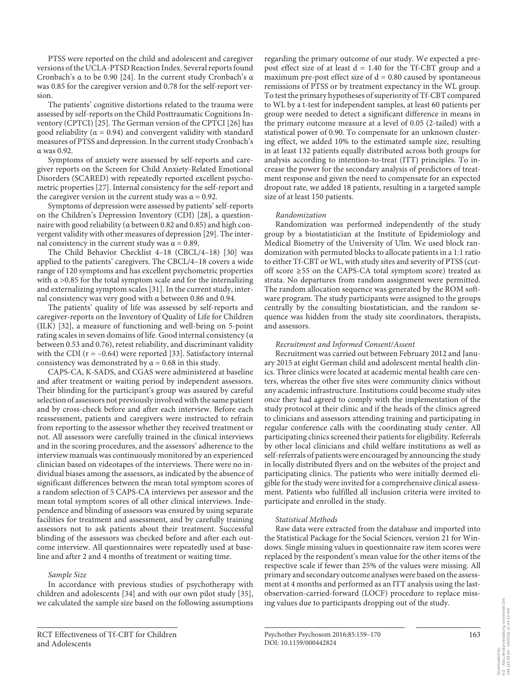PTSS were reported on the child and adolescent and caregiver versions of the UCLA-PTSD Reaction Index. Several reports found Cronbach's α to be 0.90 [24] . In the current study Cronbach's α was 0.85 for the caregiver version and 0.78 for the self-report version.

 The patients' cognitive distortions related to the trauma were assessed by self-reports on the Child Posttraumatic Cognitions Inventory (CPTCI) [25]. The German version of the CPTCI [26] has good reliability ( $\alpha = 0.94$ ) and convergent validity with standard measures of PTSS and depression. In the current study Cronbach's α was 0.92.

 Symptoms of anxiety were assessed by self-reports and caregiver reports on the Screen for Child Anxiety-Related Emotional Disorders (SCARED) with repeatedly reported excellent psychometric properties [27] . Internal consistency for the self-report and the caregiver version in the current study was  $\alpha = 0.92$ .

 Symptoms of depression were assessed by patients' self-reports on the Children's Depression Inventory (CDI) [28], a questionnaire with good reliability (α between 0.82 and 0.85) and high convergent validity with other measures of depression [29] . The internal consistency in the current study was  $\alpha = 0.89$ .

 The Child Behavior Checklist 4–18 (CBCL/4–18) [30] was applied to the patients' caregivers. The CBCL/4–18 covers a wide range of 120 symptoms and has excellent psychometric properties with  $\alpha > 0.85$  for the total symptom scale and for the internalizing and externalizing symptom scales [31] . In the current study, internal consistency was very good with α between 0.86 and 0.94.

 The patients' quality of life was assessed by self-reports and caregiver-reports on the Inventory of Quality of Life for Children (ILK) [32], a measure of functioning and well-being on 5-point rating scales in seven domains of life. Good internal consistency (α between 0.53 and 0.76), retest reliability, and discriminant validity with the CDI  $(r = -0.64)$  were reported [33]. Satisfactory internal consistency was demonstrated by  $\alpha$  = 0.68 in this study.

 CAPS-CA, K-SADS, and CGAS were administered at baseline and after treatment or waiting period by independent assessors. Their blinding for the participant's group was assured by careful selection of assessors not previously involved with the same patient and by cross-check before and after each interview. Before each reassessment, patients and caregivers were instructed to refrain from reporting to the assessor whether they received treatment or not. All assessors were carefully trained in the clinical interviews and in the scoring procedures, and the assessors' adherence to the interview manuals was continuously monitored by an experienced clinician based on videotapes of the interviews. There were no individual biases among the assessors, as indicated by the absence of significant differences between the mean total symptom scores of a random selection of 5 CAPS-CA interviews per assessor and the mean total symptom scores of all other clinical interviews. Independence and blinding of assessors was ensured by using separate facilities for treatment and assessment, and by carefully training assessors not to ask patients about their treatment. Successful blinding of the assessors was checked before and after each outcome interview. All questionnaires were repeatedly used at baseline and after 2 and 4 months of treatment or waiting time.

#### *Sample Size*

 In accordance with previous studies of psychotherapy with children and adolescents [34] and with our own pilot study [35] , we calculated the sample size based on the following assumptions

regarding the primary outcome of our study. We expected a prepost effect size of at least  $d = 1.40$  for the Tf-CBT group and a maximum pre-post effect size of  $d = 0.80$  caused by spontaneous remissions of PTSS or by treatment expectancy in the WL group. To test the primary hypotheses of superiority of Tf-CBT compared to WL by a t-test for independent samples, at least 60 patients per group were needed to detect a significant difference in means in the primary outcome measure at a level of 0.05 (2-tailed) with a statistical power of 0.90. To compensate for an unknown clustering effect, we added 10% to the estimated sample size, resulting in at least 132 patients equally distributed across both groups for analysis according to intention-to-treat (ITT) principles. To increase the power for the secondary analysis of predictors of treatment response and given the need to compensate for an expected dropout rate, we added 18 patients, resulting in a targeted sample size of at least 150 patients.

#### *Randomization*

 Randomization was performed independently of the study group by a biostatistician at the Institute of Epidemiology and Medical Biometry of the University of Ulm. We used block randomization with permuted blocks to allocate patients in a 1:1 ratio to either Tf-CBT or WL, with study sites and severity of PTSS (cutoff score ≥ 55 on the CAPS-CA total symptom score) treated as strata. No departures from random assignment were permitted. The random allocation sequence was generated by the ROM software program. The study participants were assigned to the groups centrally by the consulting biostatistician, and the random sequence was hidden from the study site coordinators, therapists, and assessors.

#### *Recruitment and Informed Consent/Assent*

 Recruitment was carried out between February 2012 and January 2015 at eight German child and adolescent mental health clinics. Three clinics were located at academic mental health care centers, whereas the other five sites were community clinics without any academic infrastructure. Institutions could become study sites once they had agreed to comply with the implementation of the study protocol at their clinic and if the heads of the clinics agreed to clinicians and assessors attending training and participating in regular conference calls with the coordinating study center. All participating clinics screened their patients for eligibility. Referrals by other local clinicians and child welfare institutions as well as self-referrals of patients were encouraged by announcing the study in locally distributed flyers and on the websites of the project and participating clinics. The patients who were initially deemed eligible for the study were invited for a comprehensive clinical assessment. Patients who fulfilled all inclusion criteria were invited to participate and enrolled in the study.

#### *Statistical Methods*

 Raw data were extracted from the database and imported into the Statistical Package for the Social Sciences, version 21 for Windows. Single missing values in questionnaire raw item scores were replaced by the respondent's mean value for the other items of the respective scale if fewer than 25% of the values were missing. All primary and secondary outcome analyses were based on the assessment at 4 months and performed as an ITT analysis using the lastobservation-carried-forward (LOCF) procedure to replace missing values due to participants dropping out of the study.

Downloaded by: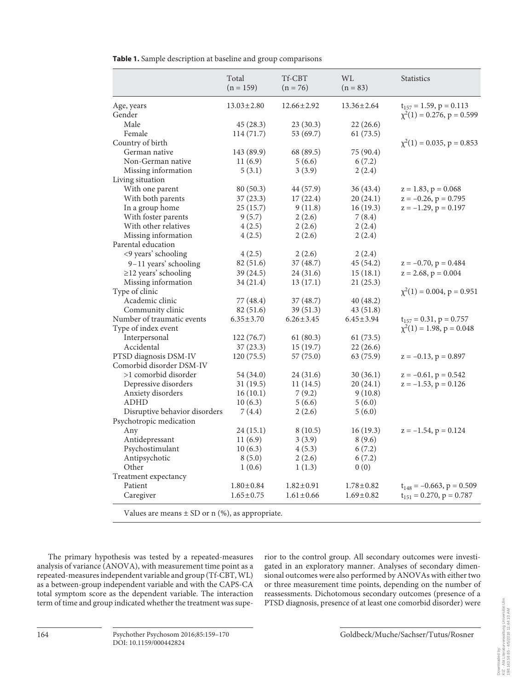|  |  |  | Table 1. Sample description at baseline and group comparisons |  |  |
|--|--|--|---------------------------------------------------------------|--|--|
|--|--|--|---------------------------------------------------------------|--|--|

| $13.03 \pm 2.80$<br>$12.66 \pm 2.92$<br>$13.36 \pm 2.64$<br>$t_{157} = 1.59$ , $p = 0.113$<br>Age, years<br>$\chi^2(1) = 0.276$ , p = 0.599<br>Gender<br>Male<br>23(30.3)<br>22(26.6)<br>45 (28.3)<br>Female<br>53 (69.7)<br>61(73.5)<br>114 (71.7)<br>$\chi^2(1) = 0.035$ , p = 0.853<br>Country of birth<br>German native<br>143 (89.9)<br>68 (89.5)<br>75 (90.4)<br>Non-German native<br>11(6.9)<br>5(6.6)<br>6(7.2)<br>Missing information<br>5(3.1)<br>3(3.9)<br>2(2.4)<br>Living situation<br>With one parent<br>80(50.3)<br>44 (57.9)<br>36 (43.4)<br>$z = 1.83$ , $p = 0.068$<br>With both parents<br>37(23.3)<br>17(22.4)<br>20(24.1)<br>$z = -0.26$ , $p = 0.795$<br>$z = -1.29$ , $p = 0.197$<br>In a group home<br>25(15.7)<br>9(11.8)<br>16(19.3)<br>With foster parents<br>9(5.7)<br>2(2.6)<br>7(8.4)<br>With other relatives<br>4(2.5)<br>2(2.6)<br>2(2.4)<br>Missing information<br>4(2.5)<br>2(2.6)<br>2(2.4)<br>Parental education<br><9 years' schooling<br>4(2.5)<br>2(2.6)<br>2(2.4)<br>9-11 years' schooling<br>82 (51.6)<br>37 (48.7)<br>45 (54.2)<br>$z = -0.70$ , $p = 0.484$<br>$\geq$ 12 years' schooling<br>39 (24.5)<br>24 (31.6)<br>15(18.1)<br>$z = 2.68$ , $p = 0.004$<br>Missing information<br>13(17.1)<br>21(25.3)<br>34 (21.4)<br>Type of clinic<br>$\chi^2(1) = 0.004$ , p = 0.951<br>Academic clinic<br>77 (48.4)<br>37 (48.7)<br>40 (48.2)<br>Community clinic<br>82 (51.6)<br>39 (51.3)<br>43 (51.8)<br>Number of traumatic events<br>$6.35 \pm 3.70$<br>$6.26 \pm 3.45$<br>$6.45 \pm 3.94$<br>$t_{157} = 0.31$ , $p = 0.757$<br>$\chi^2(1) = 1.98$ , p = 0.048<br>Type of index event<br>Interpersonal<br>122(76.7)<br>61(80.3)<br>61(73.5)<br>Accidental<br>15(19.7)<br>22(26.6)<br>37(23.3)<br>PTSD diagnosis DSM-IV<br>120(75.5)<br>57(75.0)<br>63 (75.9)<br>$z = -0.13$ , $p = 0.897$<br>Comorbid disorder DSM-IV |  |
|----------------------------------------------------------------------------------------------------------------------------------------------------------------------------------------------------------------------------------------------------------------------------------------------------------------------------------------------------------------------------------------------------------------------------------------------------------------------------------------------------------------------------------------------------------------------------------------------------------------------------------------------------------------------------------------------------------------------------------------------------------------------------------------------------------------------------------------------------------------------------------------------------------------------------------------------------------------------------------------------------------------------------------------------------------------------------------------------------------------------------------------------------------------------------------------------------------------------------------------------------------------------------------------------------------------------------------------------------------------------------------------------------------------------------------------------------------------------------------------------------------------------------------------------------------------------------------------------------------------------------------------------------------------------------------------------------------------------------------------------------------------------------------------------------------------------------------------------------------------|--|
|                                                                                                                                                                                                                                                                                                                                                                                                                                                                                                                                                                                                                                                                                                                                                                                                                                                                                                                                                                                                                                                                                                                                                                                                                                                                                                                                                                                                                                                                                                                                                                                                                                                                                                                                                                                                                                                                |  |
|                                                                                                                                                                                                                                                                                                                                                                                                                                                                                                                                                                                                                                                                                                                                                                                                                                                                                                                                                                                                                                                                                                                                                                                                                                                                                                                                                                                                                                                                                                                                                                                                                                                                                                                                                                                                                                                                |  |
|                                                                                                                                                                                                                                                                                                                                                                                                                                                                                                                                                                                                                                                                                                                                                                                                                                                                                                                                                                                                                                                                                                                                                                                                                                                                                                                                                                                                                                                                                                                                                                                                                                                                                                                                                                                                                                                                |  |
|                                                                                                                                                                                                                                                                                                                                                                                                                                                                                                                                                                                                                                                                                                                                                                                                                                                                                                                                                                                                                                                                                                                                                                                                                                                                                                                                                                                                                                                                                                                                                                                                                                                                                                                                                                                                                                                                |  |
|                                                                                                                                                                                                                                                                                                                                                                                                                                                                                                                                                                                                                                                                                                                                                                                                                                                                                                                                                                                                                                                                                                                                                                                                                                                                                                                                                                                                                                                                                                                                                                                                                                                                                                                                                                                                                                                                |  |
|                                                                                                                                                                                                                                                                                                                                                                                                                                                                                                                                                                                                                                                                                                                                                                                                                                                                                                                                                                                                                                                                                                                                                                                                                                                                                                                                                                                                                                                                                                                                                                                                                                                                                                                                                                                                                                                                |  |
|                                                                                                                                                                                                                                                                                                                                                                                                                                                                                                                                                                                                                                                                                                                                                                                                                                                                                                                                                                                                                                                                                                                                                                                                                                                                                                                                                                                                                                                                                                                                                                                                                                                                                                                                                                                                                                                                |  |
|                                                                                                                                                                                                                                                                                                                                                                                                                                                                                                                                                                                                                                                                                                                                                                                                                                                                                                                                                                                                                                                                                                                                                                                                                                                                                                                                                                                                                                                                                                                                                                                                                                                                                                                                                                                                                                                                |  |
|                                                                                                                                                                                                                                                                                                                                                                                                                                                                                                                                                                                                                                                                                                                                                                                                                                                                                                                                                                                                                                                                                                                                                                                                                                                                                                                                                                                                                                                                                                                                                                                                                                                                                                                                                                                                                                                                |  |
|                                                                                                                                                                                                                                                                                                                                                                                                                                                                                                                                                                                                                                                                                                                                                                                                                                                                                                                                                                                                                                                                                                                                                                                                                                                                                                                                                                                                                                                                                                                                                                                                                                                                                                                                                                                                                                                                |  |
|                                                                                                                                                                                                                                                                                                                                                                                                                                                                                                                                                                                                                                                                                                                                                                                                                                                                                                                                                                                                                                                                                                                                                                                                                                                                                                                                                                                                                                                                                                                                                                                                                                                                                                                                                                                                                                                                |  |
|                                                                                                                                                                                                                                                                                                                                                                                                                                                                                                                                                                                                                                                                                                                                                                                                                                                                                                                                                                                                                                                                                                                                                                                                                                                                                                                                                                                                                                                                                                                                                                                                                                                                                                                                                                                                                                                                |  |
|                                                                                                                                                                                                                                                                                                                                                                                                                                                                                                                                                                                                                                                                                                                                                                                                                                                                                                                                                                                                                                                                                                                                                                                                                                                                                                                                                                                                                                                                                                                                                                                                                                                                                                                                                                                                                                                                |  |
|                                                                                                                                                                                                                                                                                                                                                                                                                                                                                                                                                                                                                                                                                                                                                                                                                                                                                                                                                                                                                                                                                                                                                                                                                                                                                                                                                                                                                                                                                                                                                                                                                                                                                                                                                                                                                                                                |  |
|                                                                                                                                                                                                                                                                                                                                                                                                                                                                                                                                                                                                                                                                                                                                                                                                                                                                                                                                                                                                                                                                                                                                                                                                                                                                                                                                                                                                                                                                                                                                                                                                                                                                                                                                                                                                                                                                |  |
|                                                                                                                                                                                                                                                                                                                                                                                                                                                                                                                                                                                                                                                                                                                                                                                                                                                                                                                                                                                                                                                                                                                                                                                                                                                                                                                                                                                                                                                                                                                                                                                                                                                                                                                                                                                                                                                                |  |
|                                                                                                                                                                                                                                                                                                                                                                                                                                                                                                                                                                                                                                                                                                                                                                                                                                                                                                                                                                                                                                                                                                                                                                                                                                                                                                                                                                                                                                                                                                                                                                                                                                                                                                                                                                                                                                                                |  |
|                                                                                                                                                                                                                                                                                                                                                                                                                                                                                                                                                                                                                                                                                                                                                                                                                                                                                                                                                                                                                                                                                                                                                                                                                                                                                                                                                                                                                                                                                                                                                                                                                                                                                                                                                                                                                                                                |  |
|                                                                                                                                                                                                                                                                                                                                                                                                                                                                                                                                                                                                                                                                                                                                                                                                                                                                                                                                                                                                                                                                                                                                                                                                                                                                                                                                                                                                                                                                                                                                                                                                                                                                                                                                                                                                                                                                |  |
|                                                                                                                                                                                                                                                                                                                                                                                                                                                                                                                                                                                                                                                                                                                                                                                                                                                                                                                                                                                                                                                                                                                                                                                                                                                                                                                                                                                                                                                                                                                                                                                                                                                                                                                                                                                                                                                                |  |
|                                                                                                                                                                                                                                                                                                                                                                                                                                                                                                                                                                                                                                                                                                                                                                                                                                                                                                                                                                                                                                                                                                                                                                                                                                                                                                                                                                                                                                                                                                                                                                                                                                                                                                                                                                                                                                                                |  |
|                                                                                                                                                                                                                                                                                                                                                                                                                                                                                                                                                                                                                                                                                                                                                                                                                                                                                                                                                                                                                                                                                                                                                                                                                                                                                                                                                                                                                                                                                                                                                                                                                                                                                                                                                                                                                                                                |  |
|                                                                                                                                                                                                                                                                                                                                                                                                                                                                                                                                                                                                                                                                                                                                                                                                                                                                                                                                                                                                                                                                                                                                                                                                                                                                                                                                                                                                                                                                                                                                                                                                                                                                                                                                                                                                                                                                |  |
|                                                                                                                                                                                                                                                                                                                                                                                                                                                                                                                                                                                                                                                                                                                                                                                                                                                                                                                                                                                                                                                                                                                                                                                                                                                                                                                                                                                                                                                                                                                                                                                                                                                                                                                                                                                                                                                                |  |
|                                                                                                                                                                                                                                                                                                                                                                                                                                                                                                                                                                                                                                                                                                                                                                                                                                                                                                                                                                                                                                                                                                                                                                                                                                                                                                                                                                                                                                                                                                                                                                                                                                                                                                                                                                                                                                                                |  |
|                                                                                                                                                                                                                                                                                                                                                                                                                                                                                                                                                                                                                                                                                                                                                                                                                                                                                                                                                                                                                                                                                                                                                                                                                                                                                                                                                                                                                                                                                                                                                                                                                                                                                                                                                                                                                                                                |  |
|                                                                                                                                                                                                                                                                                                                                                                                                                                                                                                                                                                                                                                                                                                                                                                                                                                                                                                                                                                                                                                                                                                                                                                                                                                                                                                                                                                                                                                                                                                                                                                                                                                                                                                                                                                                                                                                                |  |
|                                                                                                                                                                                                                                                                                                                                                                                                                                                                                                                                                                                                                                                                                                                                                                                                                                                                                                                                                                                                                                                                                                                                                                                                                                                                                                                                                                                                                                                                                                                                                                                                                                                                                                                                                                                                                                                                |  |
|                                                                                                                                                                                                                                                                                                                                                                                                                                                                                                                                                                                                                                                                                                                                                                                                                                                                                                                                                                                                                                                                                                                                                                                                                                                                                                                                                                                                                                                                                                                                                                                                                                                                                                                                                                                                                                                                |  |
| >1 comorbid disorder<br>30(36.1)<br>54 (34.0)<br>24 (31.6)<br>$z = -0.61$ , $p = 0.542$                                                                                                                                                                                                                                                                                                                                                                                                                                                                                                                                                                                                                                                                                                                                                                                                                                                                                                                                                                                                                                                                                                                                                                                                                                                                                                                                                                                                                                                                                                                                                                                                                                                                                                                                                                        |  |
| Depressive disorders<br>31(19.5)<br>11(14.5)<br>20 (24.1)<br>$z = -1.53$ , $p = 0.126$                                                                                                                                                                                                                                                                                                                                                                                                                                                                                                                                                                                                                                                                                                                                                                                                                                                                                                                                                                                                                                                                                                                                                                                                                                                                                                                                                                                                                                                                                                                                                                                                                                                                                                                                                                         |  |
| Anxiety disorders<br>16(10.1)<br>7(9.2)<br>9(10.8)                                                                                                                                                                                                                                                                                                                                                                                                                                                                                                                                                                                                                                                                                                                                                                                                                                                                                                                                                                                                                                                                                                                                                                                                                                                                                                                                                                                                                                                                                                                                                                                                                                                                                                                                                                                                             |  |
| <b>ADHD</b><br>10(6.3)<br>5(6.6)<br>5(6.0)                                                                                                                                                                                                                                                                                                                                                                                                                                                                                                                                                                                                                                                                                                                                                                                                                                                                                                                                                                                                                                                                                                                                                                                                                                                                                                                                                                                                                                                                                                                                                                                                                                                                                                                                                                                                                     |  |
| Disruptive behavior disorders<br>7(4.4)<br>2(2.6)<br>5(6.0)                                                                                                                                                                                                                                                                                                                                                                                                                                                                                                                                                                                                                                                                                                                                                                                                                                                                                                                                                                                                                                                                                                                                                                                                                                                                                                                                                                                                                                                                                                                                                                                                                                                                                                                                                                                                    |  |
| Psychotropic medication                                                                                                                                                                                                                                                                                                                                                                                                                                                                                                                                                                                                                                                                                                                                                                                                                                                                                                                                                                                                                                                                                                                                                                                                                                                                                                                                                                                                                                                                                                                                                                                                                                                                                                                                                                                                                                        |  |
| 16(19.3)<br>$z = -1.54$ , $p = 0.124$<br>Any<br>24 (15.1)<br>8 (10.5)                                                                                                                                                                                                                                                                                                                                                                                                                                                                                                                                                                                                                                                                                                                                                                                                                                                                                                                                                                                                                                                                                                                                                                                                                                                                                                                                                                                                                                                                                                                                                                                                                                                                                                                                                                                          |  |
| Antidepressant<br>11(6.9)<br>3(3.9)<br>8(9.6)                                                                                                                                                                                                                                                                                                                                                                                                                                                                                                                                                                                                                                                                                                                                                                                                                                                                                                                                                                                                                                                                                                                                                                                                                                                                                                                                                                                                                                                                                                                                                                                                                                                                                                                                                                                                                  |  |
| Psychostimulant<br>10(6.3)<br>4(5.3)<br>6(7.2)                                                                                                                                                                                                                                                                                                                                                                                                                                                                                                                                                                                                                                                                                                                                                                                                                                                                                                                                                                                                                                                                                                                                                                                                                                                                                                                                                                                                                                                                                                                                                                                                                                                                                                                                                                                                                 |  |
| Antipsychotic<br>6(7.2)<br>8(5.0)<br>2(2.6)                                                                                                                                                                                                                                                                                                                                                                                                                                                                                                                                                                                                                                                                                                                                                                                                                                                                                                                                                                                                                                                                                                                                                                                                                                                                                                                                                                                                                                                                                                                                                                                                                                                                                                                                                                                                                    |  |
| Other<br>0(0)<br>1(0.6)<br>1(1.3)                                                                                                                                                                                                                                                                                                                                                                                                                                                                                                                                                                                                                                                                                                                                                                                                                                                                                                                                                                                                                                                                                                                                                                                                                                                                                                                                                                                                                                                                                                                                                                                                                                                                                                                                                                                                                              |  |
| Treatment expectancy                                                                                                                                                                                                                                                                                                                                                                                                                                                                                                                                                                                                                                                                                                                                                                                                                                                                                                                                                                                                                                                                                                                                                                                                                                                                                                                                                                                                                                                                                                                                                                                                                                                                                                                                                                                                                                           |  |
| Patient<br>$1.80 \pm 0.84$<br>$1.82 \pm 0.91$<br>$1.78 \pm 0.82$<br>$t_{148} = -0.663$ , p = 0.509                                                                                                                                                                                                                                                                                                                                                                                                                                                                                                                                                                                                                                                                                                                                                                                                                                                                                                                                                                                                                                                                                                                                                                                                                                                                                                                                                                                                                                                                                                                                                                                                                                                                                                                                                             |  |
| $1.65 \pm 0.75$<br>$1.61 \pm 0.66$<br>$1.69 \pm 0.82$<br>$t_{151} = 0.270$ , $p = 0.787$<br>Caregiver                                                                                                                                                                                                                                                                                                                                                                                                                                                                                                                                                                                                                                                                                                                                                                                                                                                                                                                                                                                                                                                                                                                                                                                                                                                                                                                                                                                                                                                                                                                                                                                                                                                                                                                                                          |  |

Values are means  $\pm$  SD or n (%), as appropriate.

 The primary hypothesis was tested by a repeated-measures analysis of variance (ANOVA), with measurement time point as a repeated-measures independent variable and group (Tf-CBT, WL) as a between-group independent variable and with the CAPS-CA total symptom score as the dependent variable. The interaction term of time and group indicated whether the treatment was superior to the control group. All secondary outcomes were investigated in an exploratory manner. Analyses of secondary dimensional outcomes were also performed by ANOVAs with either two or three measurement time points, depending on the number of reassessments. Dichotomous secondary outcomes (presence of a PTSD diagnosis, presence of at least one comorbid disorder) were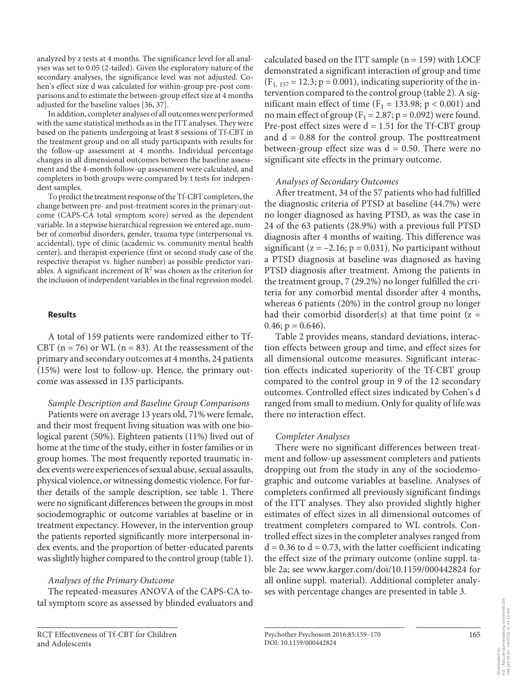analyzed by z tests at 4 months. The significance level for all analyses was set to 0.05 (2-tailed). Given the exploratory nature of the secondary analyses, the significance level was not adjusted. Cohen's effect size d was calculated for within-group pre-post comparisons and to estimate the between-group effect size at 4 months adjusted for the baseline values [36, 37] .

 In addition, completer analyses of all outcomes were performed with the same statistical methods as in the ITT analyses. They were based on the patients undergoing at least 8 sessions of Tf-CBT in the treatment group and on all study participants with results for the follow-up assessment at 4 months. Individual percentage changes in all dimensional outcomes between the baseline assessment and the 4-month follow-up assessment were calculated, and completers in both groups were compared by t tests for independent samples.

 To predict the treatment response of the Tf-CBT completers, the change between pre- and post-treatment scores in the primary outcome (CAPS-CA total symptom score) served as the dependent variable. In a stepwise hierarchical regression we entered age, number of comorbid disorders, gender, trauma type (interpersonal vs. accidental), type of clinic (academic vs. community mental health center), and therapist experience (first or second study case of the respective therapist vs. higher number) as possible predictor variables. A significant increment of  $\mathbb{R}^2$  was chosen as the criterion for the inclusion of independent variables in the final regression model.

#### **Results**

 A total of 159 patients were randomized either to Tf-CBT ( $n = 76$ ) or WL ( $n = 83$ ). At the reassessment of the primary and secondary outcomes at 4 months, 24 patients (15%) were lost to follow-up. Hence, the primary outcome was assessed in 135 participants.

# *Sample Description and Baseline Group Comparisons*

 Patients were on average 13 years old, 71% were female, and their most frequent living situation was with one biological parent (50%). Eighteen patients (11%) lived out of home at the time of the study, either in foster families or in group homes. The most frequently reported traumatic index events were experiences of sexual abuse, sexual assaults, physical violence, or witnessing domestic violence. For further details of the sample description, see table 1. There were no significant differences between the groups in most sociodemographic or outcome variables at baseline or in treatment expectancy. However, in the intervention group the patients reported significantly more interpersonal index events, and the proportion of better-educated parents was slightly higher compared to the control group (table 1).

# *Analyses of the Primary Outcome*

 The repeated-measures ANOVA of the CAPS-CA total symptom score as assessed by blinded evaluators and calculated based on the ITT sample  $(n = 159)$  with LOCF demonstrated a significant interaction of group and time  $(F<sub>1, 157</sub> = 12.3; p = 0.001)$ , indicating superiority of the intervention compared to the control group (table 2). A significant main effect of time ( $F_1 = 133.98$ ;  $p < 0.001$ ) and no main effect of group ( $F_1 = 2.87$ ; p = 0.092) were found. Pre-post effect sizes were  $d = 1.51$  for the Tf-CBT group and  $d = 0.88$  for the control group. The posttreatment between-group effect size was  $d = 0.50$ . There were no significant site effects in the primary outcome.

#### *Analyses of Secondary Outcomes*

 After treatment, 34 of the 57 patients who had fulfilled the diagnostic criteria of PTSD at baseline (44.7%) were no longer diagnosed as having PTSD, as was the case in 24 of the 63 patients (28.9%) with a previous full PTSD diagnosis after 4 months of waiting. This difference was significant ( $z = -2.16$ ;  $p = 0.031$ ). No participant without a PTSD diagnosis at baseline was diagnosed as having PTSD diagnosis after treatment. Among the patients in the treatment group, 7 (29.2%) no longer fulfilled the criteria for any comorbid mental disorder after 4 months, whereas 6 patients (20%) in the control group no longer had their comorbid disorder(s) at that time point  $(z =$  $0.46; p = 0.646$ .

 Table 2 provides means, standard deviations, interaction effects between group and time, and effect sizes for all dimensional outcome measures. Significant interaction effects indicated superiority of the Tf-CBT group compared to the control group in 9 of the 12 secondary outcomes. Controlled effect sizes indicated by Cohen's d ranged from small to medium. Only for quality of life was there no interaction effect.

# *Completer Analyses*

 There were no significant differences between treatment and follow-up assessment completers and patients dropping out from the study in any of the sociodemographic and outcome variables at baseline. Analyses of completers confirmed all previously significant findings of the ITT analyses. They also provided slightly higher estimates of effect sizes in all dimensional outcomes of treatment completers compared to WL controls. Controlled effect sizes in the completer analyses ranged from  $d = 0.36$  to  $d = 0.73$ , with the latter coefficient indicating the effect size of the primary outcome (online suppl. table 2a; see www.karger.com/doi/10.1159/000442824 for all online suppl. material). Additional completer analyses with percentage changes are presented in table 3.

Dow<br>KIZ<br>198.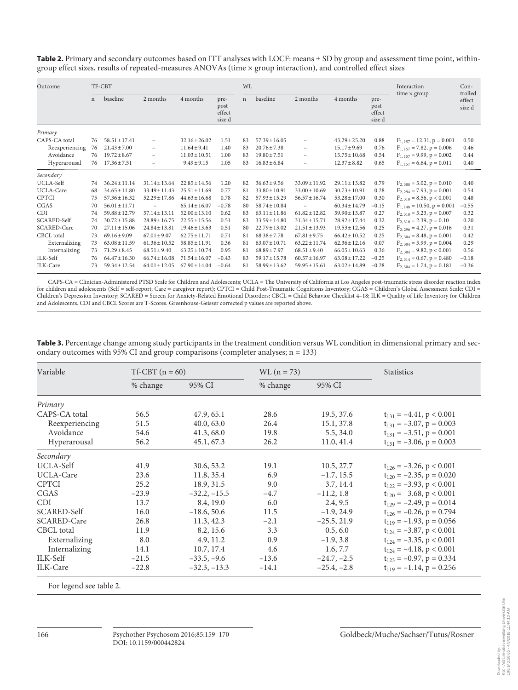Table 2. Primary and secondary outcomes based on ITT analyses with LOCF: means ± SD by group and assessment time point, withingroup effect sizes, results of repeated-measures ANOVAs (time × group interaction), and controlled effect sizes

| Outcome            |             | TF-CBT            |                          |                   |                                  | <b>WL</b>   |                   |                          | Interaction       | $Con-$                           |                                  |                             |
|--------------------|-------------|-------------------|--------------------------|-------------------|----------------------------------|-------------|-------------------|--------------------------|-------------------|----------------------------------|----------------------------------|-----------------------------|
|                    | $\mathbf n$ | baseline          | 2 months                 | 4 months          | pre-<br>post<br>effect<br>size d | $\mathbf n$ | baseline          | 2 months                 | 4 months          | pre-<br>post<br>effect<br>size d | time $\times$ group              | trolled<br>effect<br>size d |
| Primary            |             |                   |                          |                   |                                  |             |                   |                          |                   |                                  |                                  |                             |
| CAPS-CA total      | 76          | $58.51 \pm 17.41$ | $\overline{\phantom{0}}$ | $32.16 + 26.02$   | 1.51                             | 83          | $57.39 + 16.05$   | $\overline{\phantom{0}}$ | $43.29 + 25.20$   | 0.88                             | $F_{1, 157} = 12.31, p = 0.001$  | 0.50                        |
| Reexperiencing     | 76          | $21.43 \pm 7.00$  | -                        | $11.64 \pm 9.41$  | 1.40                             | 83          | $20.76 \pm 7.38$  | $\overline{\phantom{a}}$ | $15.17 \pm 9.69$  | 0.76                             | $F_{1.157} = 7.82, p = 0.006$    | 0.46                        |
| Avoidance          | 76          | $19.72 \pm 8.67$  |                          | $11.03 \pm 10.51$ | 1.00                             | 83          | $19.80 \pm 7.51$  | $\overline{\phantom{0}}$ | $15.75 \pm 10.68$ | 0.54                             | $F_{1.157} = 9.99$ , $p = 0.002$ | 0.44                        |
| Hyperarousal       | 76          | $17.36 \pm 7.51$  | $\overline{\phantom{0}}$ | $9.49 \pm 9.15$   | 1.05                             | 83          | $16.83 \pm 6.84$  | $\overline{\phantom{m}}$ | $12.37 \pm 8.82$  | 0.65                             | $F_{1.157} = 6.64, p = 0.011$    | 0.40                        |
| Secondary          |             |                   |                          |                   |                                  |             |                   |                          |                   |                                  |                                  |                             |
| UCLA-Self          | 74          | $36.24 \pm 11.14$ | $31.14 \pm 13.64$        | $22.85 \pm 14.56$ | 1.20                             | 82          | $36.63 \pm 9.56$  | $33.09 \pm 11.92$        | $29.11 \pm 13.82$ | 0.79                             | $F_{2,308} = 5.02$ , $p = 0.010$ | 0.40                        |
| UCLA-Care          | 68          | $34.65 \pm 11.80$ | $33.49 \pm 11.43$        | $25.51 \pm 11.69$ | 0.77                             | 81          | $33.80 \pm 10.91$ | $33.00 \pm 10.69$        | $30.73 \pm 10.91$ | 0.28                             | $F_{2,294} = 7.93$ , $p = 0.001$ | 0.54                        |
| <b>CPTCI</b>       | 75          | $57.36 \pm 16.32$ | $52.29 \pm 17.86$        | $44.63 \pm 16.68$ | 0.78                             | 82          | $57.93 \pm 15.29$ | $56.57 \pm 16.74$        | $53.28 \pm 17.00$ | 0.30                             | $F_{2,310} = 8.56, p < 0.001$    | 0.48                        |
| CGAS               | 70          | $56.01 \pm 11.71$ | $\overline{\phantom{0}}$ | $65.14 \pm 16.07$ | $-0.78$                          | 80          | $58.74 \pm 10.84$ |                          | $60.34 \pm 14.79$ | $-0.15$                          | $F_{1, 148} = 10.50, p = 0.001$  | $-0.55$                     |
| <b>CDI</b>         | 74          | $59.88 \pm 12.79$ | $57.14 \pm 13.11$        | $52.00 \pm 13.10$ | 0.62                             | 83          | $63.11 \pm 11.86$ | $61.82 \pm 12.82$        | $59.90 \pm 13.87$ | 0.27                             | $F_{2,310} = 5.23$ , $p = 0.007$ | 0.32                        |
| <b>SCARED-Self</b> | 74          | $30.72 \pm 15.88$ | $28.89 \pm 16.75$        | $22.55 \pm 15.56$ | 0.51                             | 83          | $33.59 \pm 14.80$ | $31.34 \pm 15.71$        | $28.92 \pm 17.44$ | 0.32                             | $F_{2,310} = 2.39, p = 0.10$     | 0.20                        |
| SCARED-Care        | 70          | $27.11 \pm 15.06$ | $24.84 \pm 13.81$        | $19.46 \pm 13.63$ | 0.51                             | 80          | $22.79 \pm 13.02$ | $21.51 \pm 13.93$        | $19.53 \pm 12.56$ | 0.25                             | $F_{2,296} = 4.27$ , $p = 0.016$ | 0.31                        |
| CBCL total         | 73          | $69.16 \pm 9.09$  | $67.01 \pm 9.07$         | $62.75 \pm 11.71$ | 0.71                             | 81          | $68.38 \pm 7.78$  | $67.81 \pm 9.75$         | $66.42 \pm 10.52$ | 0.25                             | $F_{2,304} = 8.48$ , $p = 0.001$ | 0.42                        |
| Externalizing      | 73          | $63.08 \pm 11.59$ | $61.36 \pm 10.52$        | $58.85 \pm 11.91$ | 0.36                             | 81          | $63.07 \pm 10.71$ | $63.22 \pm 11.74$        | $62.36 \pm 12.16$ | 0.07                             | $F_{2,304} = 5.99, p = 0.004$    | 0.29                        |
| Internalizing      | 73          | $71.29 \pm 8.45$  | $68.51 \pm 9.40$         | $63.25 \pm 10.74$ | 0.95                             | 81          | $68.89 \pm 7.97$  | $68.51 \pm 9.40$         | $66.05 \pm 10.63$ | 0.36                             | $F_{2,304} = 9.82, p < 0.001$    | 0.56                        |
| ILK-Self           | 76          | $64.47 \pm 16.30$ | $66.74 \pm 16.08$        | $71.54 \pm 16.07$ | $-0.43$                          | 83          | $59.17 \pm 15.78$ | $60.57 \pm 16.97$        | $63.08 \pm 17.22$ | $-0.25$                          | $F_{2,314} = 0.67$ , $p = 0.480$ | $-0.18$                     |
| ILK-Care           | 73          | $59.34 \pm 12.54$ | $64.01 \pm 12.05$        | $67.90 \pm 14.04$ | $-0.64$                          | 81          | $58.99 \pm 13.62$ | $59.95 \pm 15.61$        | $63.02 \pm 14.89$ | $-0.28$                          | $F_{2,304} = 1.74$ , $p = 0.181$ | $-0.36$                     |

CAPS-CA = Clinician-Administered PTSD Scale for Children and Adolescents; UCLA = The University of California at Los Angeles post-traumatic stress disorder reaction index for children and adolescents (Self = self-report; Care = caregiver report); CPTCI = Child Post-Traumatic Cognitions Inventory; CGAS = Children's Global Assessment Scale; CDI = Children's Depression Inventory; SCARED = Screen for Anxiety-Related Emotional Disorders; CBCL = Child Behavior Checklist 4–18; ILK = Quality of Life Inventory for Children and Adolescents. CDI and CBCL Scores are T-Scores. Greenhouse-Geisser corrected p values are reported above.

| Variable           | $Tf-CBT(n = 60)$ |                | $WL(n = 73)$ |               | <b>Statistics</b>               |
|--------------------|------------------|----------------|--------------|---------------|---------------------------------|
|                    | % change         | 95% CI         | % change     | 95% CI        |                                 |
| Primary            |                  |                |              |               |                                 |
| CAPS-CA total      | 56.5             | 47.9, 65.1     | 28.6         | 19.5, 37.6    | $t_{131} = -4.41$ , p < 0.001   |
| Reexperiencing     | 51.5             | 40.0, 63.0     | 26.4         | 15.1, 37.8    | $t_{131} = -3.07$ , $p = 0.003$ |
| Avoidance          | 54.6             | 41.3,68.0      | 19.8         | 5.5, 34.0     | $t_{131} = -3.51$ , $p = 0.001$ |
| Hyperarousal       | 56.2             | 45.1, 67.3     | 26.2         | 11.0, 41.4    | $t_{131} = -3.06$ , $p = 0.003$ |
| Secondary          |                  |                |              |               |                                 |
| UCLA-Self          | 41.9             | 30.6, 53.2     | 19.1         | 10.5, 27.7    | $t_{126} = -3.26$ , p < 0.001   |
| UCLA-Care          | 23.6             | 11.8, 35.4     | 6.9          | $-1.7, 15.5$  | $t_{120} = -2.35$ , $p = 0.020$ |
| <b>CPTCI</b>       | 25.2             | 18.9, 31.5     | 9.0          | 3.7, 14.4     | $t_{122} = -3.93$ , p < 0.001   |
| CGAS               | $-23.9$          | $-32.2, -15.5$ | $-4.7$       | $-11.2, 1.8$  | $t_{120} = 3.68, p < 0.001$     |
| <b>CDI</b>         | 13.7             | 8.4, 19.0      | 6.0          | 2.4, 9.5      | $t_{129} = -2.49$ , $p = 0.014$ |
| <b>SCARED-Self</b> | 16.0             | $-18.6, 50.6$  | 11.5         | $-1.9, 24.9$  | $t_{126} = -0.26$ , $p = 0.794$ |
| SCARED-Care        | 26.8             | 11.3, 42.3     | $-2.1$       | $-25.5, 21.9$ | $t_{119} = -1.93$ , p = 0.056   |
| CBCL total         | 11.9             | 8.2, 15.6      | 3.3          | 0.5, 6.0      | $t_{124} = -3.87$ , p < 0.001   |
| Externalizing      | 8.0              | 4.9, 11.2      | 0.9          | $-1.9, 3.8$   | $t_{124} = -3.35$ , p < 0.001   |
| Internalizing      | 14.1             | 10.7, 17.4     | 4.6          | 1.6, 7.7      | $t_{124} = -4.18$ , p < 0.001   |
| ILK-Self           | $-21.5$          | $-33.5, -9.6$  | $-13.6$      | $-24.7, -2.5$ | $t_{123} = -0.97$ , $p = 0.334$ |
| ILK-Care           | $-22.8$          | $-32.3, -13.3$ | $-14.1$      | $-25.4, -2.8$ | $t_{119} = -1.14$ , $p = 0.256$ |

 **Table 3.** Percentage change among study participants in the treatment condition versus WL condition in dimensional primary and secondary outcomes with 95% CI and group comparisons (completer analyses; n = 133)

For legend see table 2.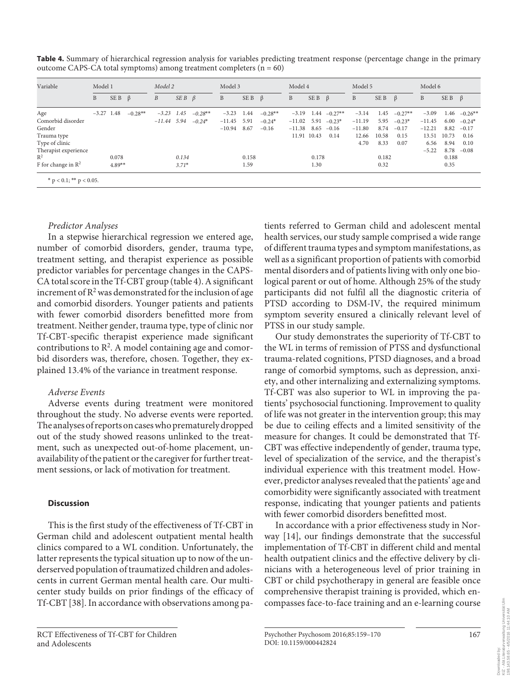| Variable                       | Model 1             |       |           | Model 2          |                   | Model 3   |          | Model 4           |           | Model 5  |                    |                 | Model 6  |       |           |          |             |                |
|--------------------------------|---------------------|-------|-----------|------------------|-------------------|-----------|----------|-------------------|-----------|----------|--------------------|-----------------|----------|-------|-----------|----------|-------------|----------------|
|                                | B                   | SE B  | $\beta$   | $\boldsymbol{B}$ | $SEB \quad \beta$ |           | B        | $SEB \quad \beta$ |           | B        | $SE B \quad \beta$ |                 | B        | SE B  | $\beta$   | B        | SE B        | $\beta$        |
| Age                            | $-3.27$ 1.48        |       | $-0.28**$ | $-3.23$ 1.45     |                   | $-0.28**$ | $-3.23$  | 1.44              | $-0.28**$ | $-3.19$  |                    | $1.44 - 0.27**$ | $-3.14$  | 1.45  | $-0.27**$ | $-3.09$  |             | $1.46 -0.26**$ |
| Comorbid disorder              |                     |       |           | $-11.44$ 5.94    |                   | $-0.24*$  | $-11.45$ | 5.91              | $-0.24*$  | $-11.02$ | 5.91               | $-0.23*$        | $-11.19$ | 5.95  | $-0.23*$  | $-11.45$ | 6.00        | $-0.24*$       |
| Gender                         |                     |       |           |                  |                   |           | $-10.94$ | 8.67              | $-0.16$   | $-11.38$ | 8.65               | $-0.16$         | $-11.80$ | 8.74  | $-0.17$   | $-12.21$ | 8.82        | $-0.17$        |
| Trauma type                    |                     |       |           |                  |                   |           |          |                   |           |          | 11.91 10.43        | 0.14            | 12.66    | 10.58 | 0.15      |          | 13.51 10.73 | 0.16           |
| Type of clinic                 |                     |       |           |                  |                   |           |          |                   |           |          |                    |                 | 4.70     | 8.33  | 0.07      | 6.56     | 8.94        | 0.10           |
| Therapist experience           |                     |       |           |                  |                   |           |          |                   |           |          |                    |                 |          |       |           | $-5.22$  | 8.78        | $-0.08$        |
| $R^2$                          |                     | 0.078 |           |                  | 0.134             |           |          | 0.158             |           |          | 0.178              |                 |          | 0.182 |           |          | 0.188       |                |
| F for change in $\mathbb{R}^2$ | $4.89**$<br>$3.71*$ |       | 1.59      |                  | 1.30              |           | 0.32     |                   |           | 0.35     |                    |                 |          |       |           |          |             |                |

 **Table 4.** Summary of hierarchical regression analysis for variables predicting treatment response (percentage change in the primary outcome CAPS-CA total symptoms) among treatment completers  $(n = 60)$ 

# *Predictor Analyses*

 In a stepwise hierarchical regression we entered age, number of comorbid disorders, gender, trauma type, treatment setting, and therapist experience as possible predictor variables for percentage changes in the CAPS-CA total score in the Tf-CBT group (table 4). A significant increment of  $\mathbb{R}^2$  was demonstrated for the inclusion of age and comorbid disorders. Younger patients and patients with fewer comorbid disorders benefitted more from treatment. Neither gender, trauma type, type of clinic nor Tf-CBT-specific therapist experience made significant contributions to  $R^2$ . A model containing age and comorbid disorders was, therefore, chosen. Together, they explained 13.4% of the variance in treatment response.

### *Adverse Events*

 Adverse events during treatment were monitored throughout the study. No adverse events were reported. The analyses of reports on cases who prematurely dropped out of the study showed reasons unlinked to the treatment, such as unexpected out-of-home placement, unavailability of the patient or the caregiver for further treatment sessions, or lack of motivation for treatment.

#### **Discussion**

 This is the first study of the effectiveness of Tf-CBT in German child and adolescent outpatient mental health clinics compared to a WL condition. Unfortunately, the latter represents the typical situation up to now of the underserved population of traumatized children and adolescents in current German mental health care. Our multicenter study builds on prior findings of the efficacy of Tf-CBT [38]. In accordance with observations among pa-

 RCT Effectiveness of Tf-CBT for Children and Adolescents

tients referred to German child and adolescent mental health services, our study sample comprised a wide range of different trauma types and symptom manifestations, as well as a significant proportion of patients with comorbid mental disorders and of patients living with only one biological parent or out of home. Although 25% of the study participants did not fulfil all the diagnostic criteria of PTSD according to DSM-IV, the required minimum symptom severity ensured a clinically relevant level of PTSS in our study sample.

 Our study demonstrates the superiority of Tf-CBT to the WL in terms of remission of PTSS and dysfunctional trauma-related cognitions, PTSD diagnoses, and a broad range of comorbid symptoms, such as depression, anxiety, and other internalizing and externalizing symptoms. Tf-CBT was also superior to WL in improving the patients' psychosocial functioning. Improvement to quality of life was not greater in the intervention group; this may be due to ceiling effects and a limited sensitivity of the measure for changes. It could be demonstrated that Tf-CBT was effective independently of gender, trauma type, level of specialization of the service, and the therapist's individual experience with this treatment model. However, predictor analyses revealed that the patients' age and comorbidity were significantly associated with treatment response, indicating that younger patients and patients with fewer comorbid disorders benefitted most.

 In accordance with a prior effectiveness study in Norway  $[14]$ , our findings demonstrate that the successful implementation of Tf-CBT in different child and mental health outpatient clinics and the effective delivery by clinicians with a heterogeneous level of prior training in CBT or child psychotherapy in general are feasible once comprehensive therapist training is provided, which encompasses face-to-face training and an e-learning course

 Psychother Psychosom 2016;85:159–170 DOI: 10.1159/000442824

167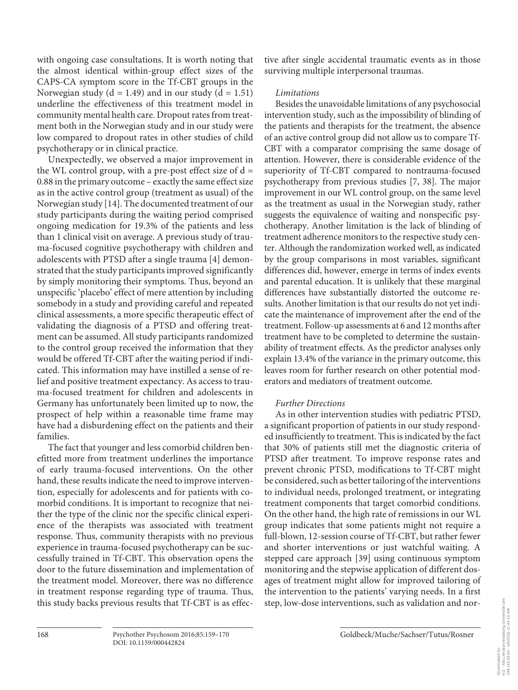with ongoing case consultations. It is worth noting that the almost identical within-group effect sizes of the CAPS-CA symptom score in the Tf-CBT groups in the Norwegian study ( $d = 1.49$ ) and in our study ( $d = 1.51$ ) underline the effectiveness of this treatment model in community mental health care. Dropout rates from treatment both in the Norwegian study and in our study were low compared to dropout rates in other studies of child psychotherapy or in clinical practice.

 Unexpectedly, we observed a major improvement in the WL control group, with a pre-post effect size of  $d =$ 0.88 in the primary outcome – exactly the same effect size as in the active control group (treatment as usual) of the Norwegian study [14] . The documented treatment of our study participants during the waiting period comprised ongoing medication for 19.3% of the patients and less than 1 clinical visit on average. A previous study of trauma-focused cognitive psychotherapy with children and adolescents with PTSD after a single trauma [4] demonstrated that the study participants improved significantly by simply monitoring their symptoms. Thus, beyond an unspecific 'placebo' effect of mere attention by including somebody in a study and providing careful and repeated clinical assessments, a more specific therapeutic effect of validating the diagnosis of a PTSD and offering treatment can be assumed. All study participants randomized to the control group received the information that they would be offered Tf-CBT after the waiting period if indicated. This information may have instilled a sense of relief and positive treatment expectancy. As access to trauma-focused treatment for children and adolescents in Germany has unfortunately been limited up to now, the prospect of help within a reasonable time frame may have had a disburdening effect on the patients and their families.

 The fact that younger and less comorbid children benefitted more from treatment underlines the importance of early trauma-focused interventions. On the other hand, these results indicate the need to improve intervention, especially for adolescents and for patients with comorbid conditions. It is important to recognize that neither the type of the clinic nor the specific clinical experience of the therapists was associated with treatment response. Thus, community therapists with no previous experience in trauma-focused psychotherapy can be successfully trained in Tf-CBT. This observation opens the door to the future dissemination and implementation of the treatment model. Moreover, there was no difference in treatment response regarding type of trauma. Thus, this study backs previous results that Tf-CBT is as effective after single accidental traumatic events as in those surviving multiple interpersonal traumas.

# *Limitations*

 Besides the unavoidable limitations of any psychosocial intervention study, such as the impossibility of blinding of the patients and therapists for the treatment, the absence of an active control group did not allow us to compare Tf-CBT with a comparator comprising the same dosage of attention. However, there is considerable evidence of the superiority of Tf-CBT compared to nontrauma-focused psychotherapy from previous studies [7, 38]. The major improvement in our WL control group, on the same level as the treatment as usual in the Norwegian study, rather suggests the equivalence of waiting and nonspecific psychotherapy. Another limitation is the lack of blinding of treatment adherence monitors to the respective study center. Although the randomization worked well, as indicated by the group comparisons in most variables, significant differences did, however, emerge in terms of index events and parental education. It is unlikely that these marginal differences have substantially distorted the outcome results. Another limitation is that our results do not yet indicate the maintenance of improvement after the end of the treatment. Follow-up assessments at 6 and 12 months after treatment have to be completed to determine the sustainability of treatment effects. As the predictor analyses only explain 13.4% of the variance in the primary outcome, this leaves room for further research on other potential moderators and mediators of treatment outcome.

# *Further Directions*

 As in other intervention studies with pediatric PTSD, a significant proportion of patients in our study responded insufficiently to treatment. This is indicated by the fact that 30% of patients still met the diagnostic criteria of PTSD after treatment. To improve response rates and prevent chronic PTSD, modifications to Tf-CBT might be considered, such as better tailoring of the interventions to individual needs, prolonged treatment, or integrating treatment components that target comorbid conditions. On the other hand, the high rate of remissions in our WL group indicates that some patients might not require a full-blown, 12-session course of Tf-CBT, but rather fewer and shorter interventions or just watchful waiting. A stepped care approach [39] using continuous symptom monitoring and the stepwise application of different dosages of treatment might allow for improved tailoring of the intervention to the patients' varying needs. In a first step, low-dose interventions, such as validation and nor-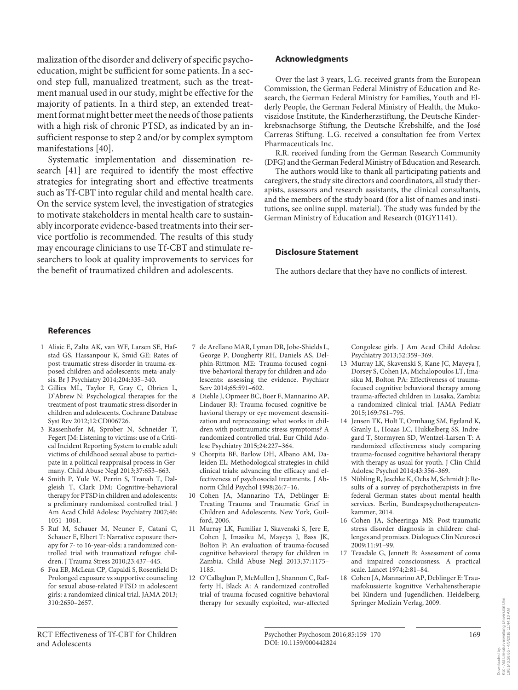malization of the disorder and delivery of specific psychoeducation, might be sufficient for some patients. In a second step full, manualized treatment, such as the treatment manual used in our study, might be effective for the majority of patients. In a third step, an extended treatment format might better meet the needs of those patients with a high risk of chronic PTSD, as indicated by an insufficient response to step 2 and/or by complex symptom manifestations [40].

 Systematic implementation and dissemination research [41] are required to identify the most effective strategies for integrating short and effective treatments such as Tf-CBT into regular child and mental health care. On the service system level, the investigation of strategies to motivate stakeholders in mental health care to sustainably incorporate evidence-based treatments into their service portfolio is recommended. The results of this study may encourage clinicians to use Tf-CBT and stimulate researchers to look at quality improvements to services for the benefit of traumatized children and adolescents.

#### **Acknowledgments**

 Over the last 3 years, L.G. received grants from the European Commission, the German Federal Ministry of Education and Research, the German Federal Ministry for Families, Youth and Elderly People, the German Federal Ministry of Health, the Mukoviszidose Institute, the Kinderherzstiftung, the Deutsche Kinderkrebsnachsorge Stiftung, the Deutsche Krebshilfe, and the José Carreras Stiftung. L.G. received a consultation fee from Vertex Pharmaceuticals Inc.

 R.R. received funding from the German Research Community (DFG) and the German Federal Ministry of Education and Research.

 The authors would like to thank all participating patients and caregivers, the study site directors and coordinators, all study therapists, assessors and research assistants, the clinical consultants, and the members of the study board (for a list of names and institutions, see online suppl. material). The study was funded by the German Ministry of Education and Research (01GY1141).

#### **Disclosure Statement**

The authors declare that they have no conflicts of interest.

#### **References**

- 1 Alisic E, Zalta AK, van WF, Larsen SE, Hafstad GS, Hassanpour K, Smid GE: Rates of post-traumatic stress disorder in trauma-exposed children and adolescents: meta-analysis. Br J Psychiatry 2014;204:335–340.
- 2 Gillies ML, Taylor F, Gray C, Obrien L, D'Abrew N: Psychological therapies for the treatment of post-traumatic stress disorder in children and adolescents. Cochrane Database Syst Rev 2012;12:CD006726.
- 3 Rassenhofer M, Sprober N, Schneider T, Fegert JM: Listening to victims: use of a Critical Incident Reporting System to enable adult victims of childhood sexual abuse to participate in a political reappraisal process in Germany. Child Abuse Negl 2013;37:653–663.
- 4 Smith P, Yule W, Perrin S, Tranah T, Dalgleish T, Clark DM: Cognitive-behavioral therapy for PTSD in children and adolescents: a preliminary randomized controlled trial. J Am Acad Child Adolesc Psychiatry 2007;46: 1051–1061.
- 5 Ruf M, Schauer M, Neuner F, Catani C, Schauer E, Elbert T: Narrative exposure therapy for 7- to 16-year-olds: a randomized controlled trial with traumatized refugee children. J Trauma Stress 2010;23:437–445.
- 6 Foa EB, McLean CP, Capaldi S, Rosenfield D: Prolonged exposure vs supportive counseling for sexual abuse-related PTSD in adolescent girls: a randomized clinical trial. JAMA 2013; 310:2650–2657.
- 7 de Arellano MAR, Lyman DR, Jobe-Shields L, George P, Dougherty RH, Daniels AS, Delphin-Rittmon ME: Trauma-focused cognitive-behavioral therapy for children and adolescents: assessing the evidence. Psychiatr Serv 2014;65:591–602.
- 8 Diehle J, Opmeer BC, Boer F, Mannarino AP, Lindauer RJ: Trauma-focused cognitive behavioral therapy or eye movement desensitization and reprocessing: what works in children with posttraumatic stress symptoms? A randomized controlled trial. Eur Child Adolesc Psychiatry 2015;24:227–364.
- 9 Chorpita BF, Barlow DH, Albano AM, Daleiden EL: Methodological strategies in child clinical trials: advancing the efficacy and effectiveness of psychosocial treatments. J Abnorm Child Psychol 1998;26:7–16.
- 10 Cohen JA, Mannarino TA, Deblinger E: Treating Trauma and Traumatic Grief in Children and Adolescents. New York, Guilford, 2006.
- 11 Murray LK, Familiar I, Skavenski S, Jere E, Cohen J, Imasiku M, Mayeya J, Bass JK, Bolton P: An evaluation of trauma-focused cognitive behavioral therapy for children in Zambia. Child Abuse Negl 2013;37:1175– 1185.
- 12 O'Callaghan P, McMullen J, Shannon C, Rafferty H, Black A: A randomized controlled trial of trauma-focused cognitive behavioral therapy for sexually exploited, war-affected

Congolese girls. J Am Acad Child Adolesc Psychiatry 2013;52:359–369.

- 13 Murray LK, Skavenski S, Kane JC, Mayeya J, Dorsey S, Cohen JA, Michalopoulos LT, Imasiku M, Bolton PA: Effectiveness of traumafocused cognitive behavioral therapy among trauma-affected children in Lusaka, Zambia: a randomized clinical trial. JAMA Pediatr 2015;169:761–795.
- 14 Jensen TK, Holt T, Ormhaug SM, Egeland K, Granly L, Hoaas LC, Hukkelberg SS, Indregard T, Stormyren SD, Wentzel-Larsen T: A randomized effectiveness study comparing trauma-focused cognitive behavioral therapy with therapy as usual for youth. J Clin Child Adolesc Psychol 2014;43:356–369.
- 15 Nübling R, Jeschke K, Ochs M, Schmidt J: Results of a survey of psychotherapists in five federal German states about mental health services. Berlin, Bundespsychotherapeutenkammer, 2014.
- 16 Cohen JA, Scheeringa MS: Post-traumatic stress disorder diagnosis in children: challenges and promises. Dialogues Clin Neurosci 2009;11:91–99.
- 17 Teasdale G, Jennett B: Assessment of coma and impaired consciousness. A practical scale. Lancet 1974;2:81–84.
- 18 Cohen JA, Mannarino AP, Deblinger E: Traumafokussierte kognitive Verhaltenstherapie bei Kindern und Jugendlichen. Heidelberg, Springer Medizin Verlag, 2009.

urverwaltung Universität Ulm<br>4/5/2016 11:44:10 AM KIZ - Abt.Literaturverwaltung Universität Ulm 198.143.58.65 - 4/5/2016 11:44:10 AMvnloaded by:<br>- Abt.Literatur<br>.143.58.65 - 4. Downloaded by: Dow<br>KIZ<br>198.

 RCT Effectiveness of Tf-CBT for Children and Adolescents